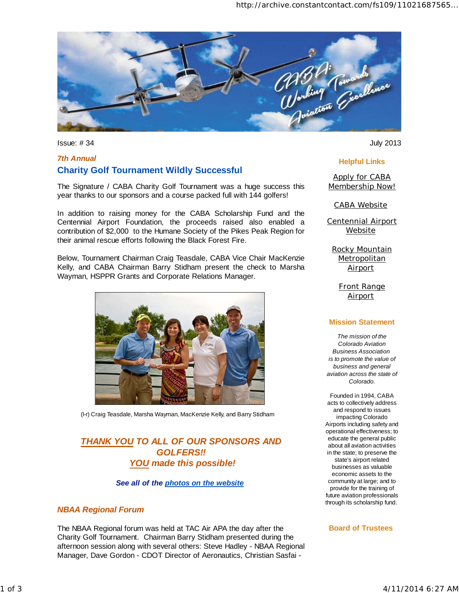

Issue: # 34 July 2013

# *7th Annual*  **Charity Golf Tournament Wildly Successful**

The Signature / CABA Charity Golf Tournament was a huge success this year thanks to our sponsors and a course packed full with 144 golfers!

In addition to raising money for the CABA Scholarship Fund and the Centennial Airport Foundation, the proceeds raised also enabled a contribution of \$2,000 to the Humane Society of the Pikes Peak Region for their animal rescue efforts following the Black Forest Fire.

Below, Tournament Chairman Craig Teasdale, CABA Vice Chair MacKenzie Kelly, and CABA Chairman Barry Stidham present the check to Marsha Wayman, HSPPR Grants and Corporate Relations Manager.



(l-r) Craig Teasdale, Marsha Wayman, MacKenzie Kelly, and Barry Stidham

# *THANK YOU TO ALL OF OUR SPONSORS AND GOLFERS!! YOU made this possible!*

## *See all of the photos on the website*

### *NBAA Regional Forum*

The NBAA Regional forum was held at TAC Air APA the day after the Charity Golf Tournament. Chairman Barry Stidham presented during the afternoon session along with several others: Steve Hadley - NBAA Regional Manager, Dave Gordon - CDOT Director of Aeronautics, Christian Sasfai -

### **Helpful Links**

Apply for CABA Membership Now!

CABA Website

Centennial Airport **Website** 

Rocky Mountain **Metropolitan Airport** 

> Front Range **Airport**

#### **Mission Statement**

*The mission of the Colorado Aviation Business Association is to promote the value of business and general aviation across the state of Colorado.*

Founded in 1994, CABA acts to collectively address and respond to issues impacting Colorado Airports including safety and operational effectiveness; to educate the general public about all aviation activities in the state; to preserve the state's airport related businesses as valuable economic assets to the community at large; and to provide for the training of future aviation professionals through its scholarship fund.

#### **Board of Trustees**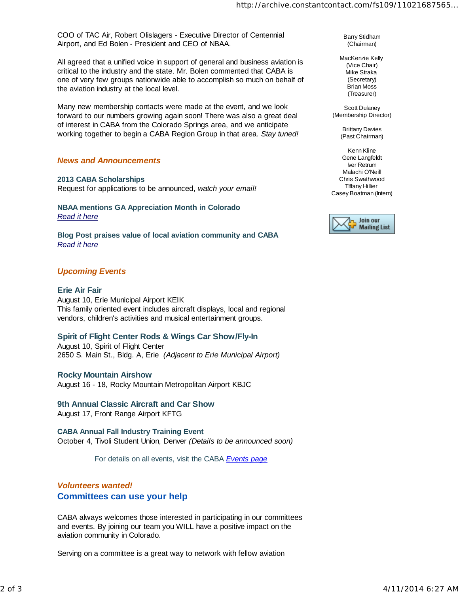COO of TAC Air, Robert Olislagers - Executive Director of Centennial Airport, and Ed Bolen - President and CEO of NBAA.

All agreed that a unified voice in support of general and business aviation is critical to the industry and the state. Mr. Bolen commented that CABA is one of very few groups nationwide able to accomplish so much on behalf of the aviation industry at the local level.

Many new membership contacts were made at the event, and we look forward to our numbers growing again soon! There was also a great deal of interest in CABA from the Colorado Springs area, and we anticipate working together to begin a CABA Region Group in that area. *Stay tuned!*

## *News and Announcements*

**2013 CABA Scholarships** 

Request for applications to be announced, *watch your email!*

**NBAA mentions GA Appreciation Month in Colorado** *Read it here*

**Blog Post praises value of local aviation community and CABA** *Read it here*

## *Upcoming Events*

**Erie Air Fair**  August 10, Erie Municipal Airport KEIK This family oriented event includes aircraft displays, local and regional vendors, children's activities and musical entertainment groups.

### **Spirit of Flight Center Rods & Wings Car Show/Fly-In**

August 10, Spirit of Flight Center 2650 S. Main St., Bldg. A, Erie *(Adjacent to Erie Municipal Airport)*

### **Rocky Mountain Airshow**

August 16 - 18, Rocky Mountain Metropolitan Airport KBJC

## **9th Annual Classic Aircraft and Car Show**

August 17, Front Range Airport KFTG

**CABA Annual Fall Industry Training Event** October 4, Tivoli Student Union, Denver *(Details to be announced soon)*

For details on all events, visit the CABA *Events page*

# *Volunteers wanted!* **Committees can use your help**

CABA always welcomes those interested in participating in our committees and events. By joining our team you WILL have a positive impact on the aviation community in Colorado.

Serving on a committee is a great way to network with fellow aviation

Barry Stidham (Chairman)

MacKenzie Kelly (Vice Chair) Mike Straka (Secretary) Brian Moss (Treasurer)

Scott Dulaney (Membership Director)

> Brittany Davies (Past Chairman)

Kenn Kline Gene Langfeldt Iver Retrum Malachi O'Neill Chris Swathwood TIffany Hillier Casey Boatman (Intern)